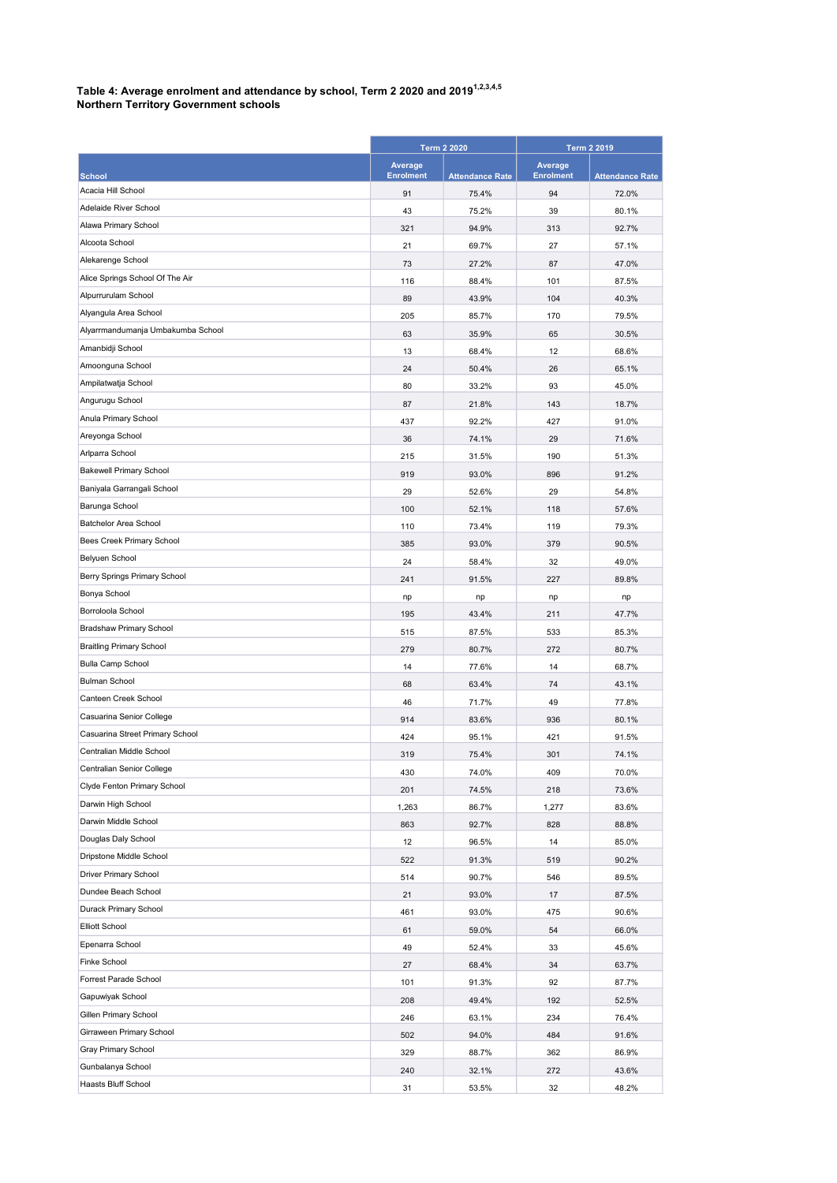## Table 4: Average enrolment and attendance by school, Term 2 2020 and 2019 $^{1,2,3,4,5}$

|  | <b>Northern Territory Government schools</b> |
|--|----------------------------------------------|
|--|----------------------------------------------|

|                                     | <b>Term 2 2020</b> |                        | <b>Term 2 2019</b> |                        |
|-------------------------------------|--------------------|------------------------|--------------------|------------------------|
|                                     | Average            |                        | Average            |                        |
| <b>School</b><br>Acacia Hill School | <b>Enrolment</b>   | <b>Attendance Rate</b> | <b>Enrolment</b>   | <b>Attendance Rate</b> |
| Adelaide River School               | 91                 | 75.4%                  | 94                 | 72.0%                  |
| Alawa Primary School                | 43                 | 75.2%                  | 39                 | 80.1%                  |
| Alcoota School                      | 321                | 94.9%                  | 313                | 92.7%                  |
| Alekarenge School                   | 21                 | 69.7%                  | 27                 | 57.1%                  |
| Alice Springs School Of The Air     | 73                 | 27.2%                  | 87                 | 47.0%                  |
| Alpurrurulam School                 | 116                | 88.4%                  | 101                | 87.5%                  |
| Alyangula Area School               | 89                 | 43.9%                  | 104                | 40.3%                  |
| Alyarrmandumanja Umbakumba School   | 205                | 85.7%                  | 170                | 79.5%                  |
| Amanbidji School                    | 63                 | 35.9%                  | 65                 | 30.5%                  |
| Amoonguna School                    | 13                 | 68.4%                  | 12                 | 68.6%                  |
| Ampilatwatja School                 | 24                 | 50.4%                  | 26                 | 65.1%                  |
| Angurugu School                     | 80                 | 33.2%                  | 93                 | 45.0%                  |
| Anula Primary School                | 87                 | 21.8%                  | 143                | 18.7%                  |
| Areyonga School                     | 437                | 92.2%                  | 427                | 91.0%                  |
| Arlparra School                     | 36                 | 74.1%                  | 29                 | 71.6%                  |
| <b>Bakewell Primary School</b>      | 215                | 31.5%                  | 190                | 51.3%                  |
| Baniyala Garrangali School          | 919                | 93.0%                  | 896                | 91.2%                  |
| Barunga School                      | 29                 | 52.6%                  | 29                 | 54.8%                  |
| Batchelor Area School               | 100                | 52.1%                  | 118                | 57.6%                  |
| Bees Creek Primary School           | 110                | 73.4%                  | 119                | 79.3%                  |
| Belyuen School                      | 385                | 93.0%                  | 379                | 90.5%                  |
| Berry Springs Primary School        | 24                 | 58.4%                  | 32                 | 49.0%                  |
| Bonya School                        | 241                | 91.5%                  | 227                | 89.8%                  |
| Borroloola School                   | np                 | np                     | np                 | np                     |
| <b>Bradshaw Primary School</b>      | 195                | 43.4%                  | 211                | 47.7%                  |
| <b>Braitling Primary School</b>     | 515                | 87.5%                  | 533                | 85.3%                  |
| <b>Bulla Camp School</b>            | 279                | 80.7%                  | 272                | 80.7%                  |
| <b>Bulman School</b>                | 14                 | 77.6%                  | 14<br>74           | 68.7%                  |
| Canteen Creek School                | 68                 | 63.4%                  |                    | 43.1%                  |
| Casuarina Senior College            | 46<br>914          | 71.7%<br>83.6%         | 49<br>936          | 77.8%<br>80.1%         |
| Casuarina Street Primary School     | 424                | 95.1%                  | 421                | 91.5%                  |
| Centralian Middle School            | 319                | 75.4%                  | 301                | 74.1%                  |
| Centralian Senior College           | 430                | 74.0%                  | 409                | 70.0%                  |
| Clyde Fenton Primary School         | 201                | 74.5%                  | 218                | 73.6%                  |
| Darwin High School                  | 1,263              | 86.7%                  | 1,277              | 83.6%                  |
| Darwin Middle School                | 863                | 92.7%                  | 828                | 88.8%                  |
| Douglas Daly School                 | 12                 | 96.5%                  | 14                 | 85.0%                  |
| Dripstone Middle School             | 522                | 91.3%                  | 519                | 90.2%                  |
| Driver Primary School               | 514                | 90.7%                  | 546                | 89.5%                  |
| Dundee Beach School                 | 21                 | 93.0%                  | 17                 | 87.5%                  |
| Durack Primary School               | 461                | 93.0%                  | 475                | 90.6%                  |
| <b>Elliott School</b>               | 61                 | 59.0%                  | 54                 | 66.0%                  |
| Epenarra School                     | 49                 | 52.4%                  | 33                 | 45.6%                  |
| Finke School                        | 27                 | 68.4%                  | 34                 | 63.7%                  |
| Forrest Parade School               | 101                | 91.3%                  | 92                 | 87.7%                  |
| Gapuwiyak School                    | 208                | 49.4%                  | 192                | 52.5%                  |
| Gillen Primary School               | 246                | 63.1%                  | 234                | 76.4%                  |
| Girraween Primary School            | 502                | 94.0%                  | 484                | 91.6%                  |
| Gray Primary School                 | 329                | 88.7%                  | 362                | 86.9%                  |
| Gunbalanya School                   | 240                | 32.1%                  | 272                | 43.6%                  |
| Haasts Bluff School                 | 31                 | 53.5%                  | 32                 | 48.2%                  |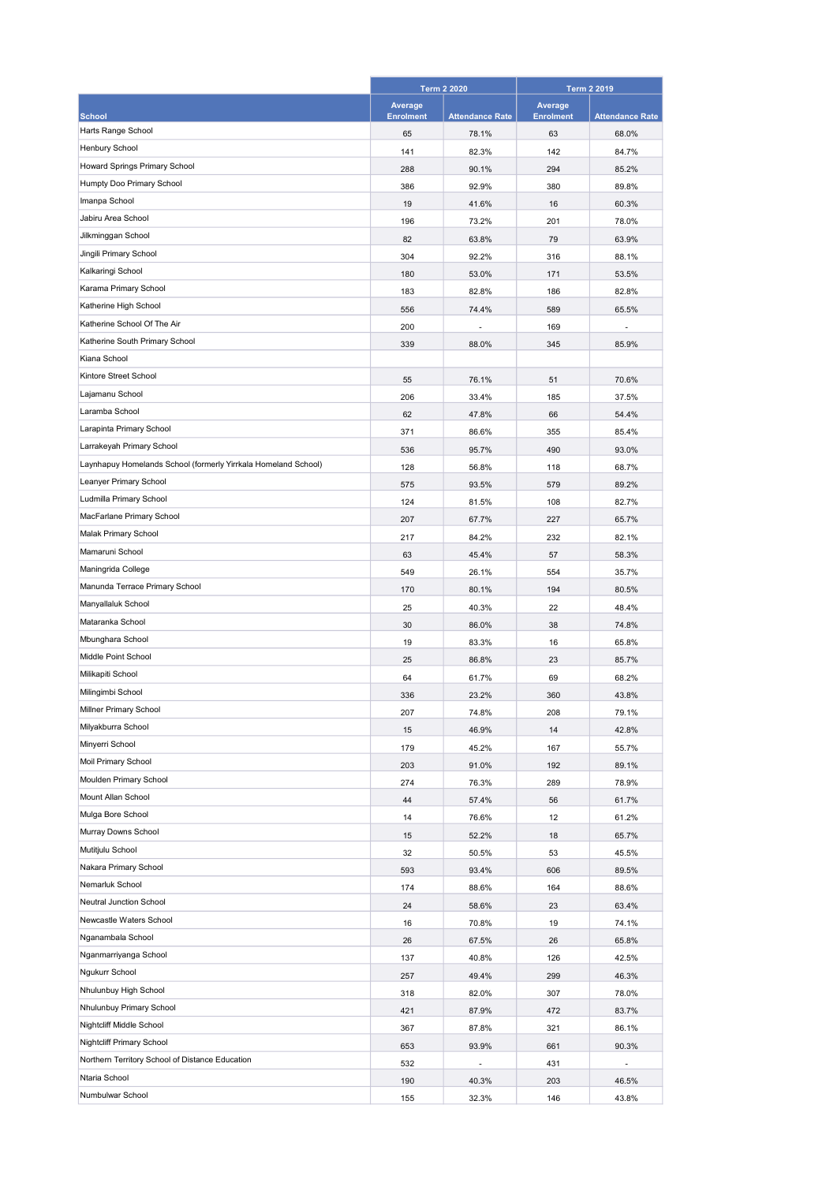|                                                                | <b>Term 2 2020</b> |                        | <b>Term 2 2019</b> |                        |
|----------------------------------------------------------------|--------------------|------------------------|--------------------|------------------------|
|                                                                | Average            |                        | Average            |                        |
| <b>School</b>                                                  | <b>Enrolment</b>   | <b>Attendance Rate</b> | <b>Enrolment</b>   | <b>Attendance Rate</b> |
| Harts Range School                                             | 65                 | 78.1%                  | 63                 | 68.0%                  |
| <b>Henbury School</b>                                          | 141                | 82.3%                  | 142                | 84.7%                  |
| Howard Springs Primary School                                  | 288                | 90.1%                  | 294                | 85.2%                  |
| Humpty Doo Primary School                                      | 386                | 92.9%                  | 380                | 89.8%                  |
| Imanpa School                                                  | 19                 | 41.6%                  | 16                 | 60.3%                  |
| Jabiru Area School                                             | 196                | 73.2%                  | 201                | 78.0%                  |
| Jilkminggan School                                             | 82                 | 63.8%                  | 79                 | 63.9%                  |
| Jingili Primary School                                         | 304                | 92.2%                  | 316                | 88.1%                  |
| Kalkaringi School                                              | 180                | 53.0%                  | 171                | 53.5%                  |
| Karama Primary School                                          | 183                | 82.8%                  | 186                | 82.8%                  |
| Katherine High School                                          | 556                | 74.4%                  | 589                | 65.5%                  |
| Katherine School Of The Air                                    | 200                |                        | 169                |                        |
| Katherine South Primary School                                 | 339                | 88.0%                  | 345                | 85.9%                  |
| Kiana School                                                   |                    |                        |                    |                        |
| Kintore Street School                                          | 55                 | 76.1%                  | 51                 | 70.6%                  |
| Lajamanu School                                                | 206                | 33.4%                  | 185                | 37.5%                  |
| Laramba School                                                 | 62                 | 47.8%                  | 66                 | 54.4%                  |
| Larapinta Primary School                                       | 371                | 86.6%                  | 355                | 85.4%                  |
| Larrakeyah Primary School                                      | 536                | 95.7%                  | 490                | 93.0%                  |
| Laynhapuy Homelands School (formerly Yirrkala Homeland School) | 128                | 56.8%                  | 118                | 68.7%                  |
| Leanyer Primary School                                         | 575                | 93.5%                  | 579                | 89.2%                  |
| Ludmilla Primary School                                        | 124                | 81.5%                  | 108                | 82.7%                  |
| MacFarlane Primary School                                      | 207                | 67.7%                  | 227                | 65.7%                  |
| Malak Primary School                                           | 217                | 84.2%                  | 232                | 82.1%                  |
| Mamaruni School                                                | 63                 | 45.4%                  | 57                 | 58.3%                  |
| Maningrida College                                             | 549                | 26.1%                  | 554                | 35.7%                  |
| Manunda Terrace Primary School                                 | 170                | 80.1%                  | 194                | 80.5%                  |
| Manyallaluk School                                             | 25                 | 40.3%                  | 22                 | 48.4%                  |
| Mataranka School                                               | 30                 | 86.0%                  | 38                 | 74.8%                  |
| Mbunghara School                                               |                    |                        |                    |                        |
| Middle Point School                                            | 19                 | 83.3%                  | 16                 | 65.8%                  |
| Milikapiti School                                              | 25                 | 86.8%                  | 23                 | 85.7%                  |
| Milingimbi School                                              | 64                 | 61.7%                  | 69                 | 68.2%                  |
| Millner Primary School                                         | 336                | 23.2%                  | 360                | 43.8%                  |
| Milyakburra School                                             | 207                | 74.8%                  | 208                | 79.1%                  |
| Minyerri School                                                | 15                 | 46.9%                  | 14                 | 42.8%                  |
| Moil Primary School                                            | 179                | 45.2%                  | 167                | 55.7%                  |
| Moulden Primary School                                         | 203                | 91.0%                  | 192                | 89.1%                  |
| Mount Allan School                                             | 274                | 76.3%                  | 289                | 78.9%                  |
| Mulga Bore School                                              | 44                 | 57.4%                  | 56                 | 61.7%                  |
| Murray Downs School                                            | 14                 | 76.6%                  | 12                 | 61.2%                  |
|                                                                | 15                 | 52.2%                  | 18                 | 65.7%                  |
| Mutitjulu School                                               | 32                 | 50.5%                  | 53                 | 45.5%                  |
| Nakara Primary School                                          | 593                | 93.4%                  | 606                | 89.5%                  |
| Nemarluk School                                                | 174                | 88.6%                  | 164                | 88.6%                  |
| Neutral Junction School                                        | 24                 | 58.6%                  | 23                 | 63.4%                  |
| Newcastle Waters School                                        | 16                 | 70.8%                  | 19                 | 74.1%                  |
| Nganambala School                                              | 26                 | 67.5%                  | 26                 | 65.8%                  |
| Nganmarriyanga School                                          | 137                | 40.8%                  | 126                | 42.5%                  |
| Ngukurr School                                                 | 257                | 49.4%                  | 299                | 46.3%                  |
| Nhulunbuy High School                                          | 318                | 82.0%                  | 307                | 78.0%                  |
| Nhulunbuy Primary School                                       | 421                | 87.9%                  | 472                | 83.7%                  |
| Nightcliff Middle School                                       | 367                | 87.8%                  | 321                | 86.1%                  |
| Nightcliff Primary School                                      | 653                | 93.9%                  | 661                | 90.3%                  |
| Northern Territory School of Distance Education                | 532                | L,                     | 431                | ÷,                     |
| Ntaria School                                                  | 190                | 40.3%                  | 203                | 46.5%                  |
| Numbulwar School                                               | 155                | 32.3%                  | 146                | 43.8%                  |